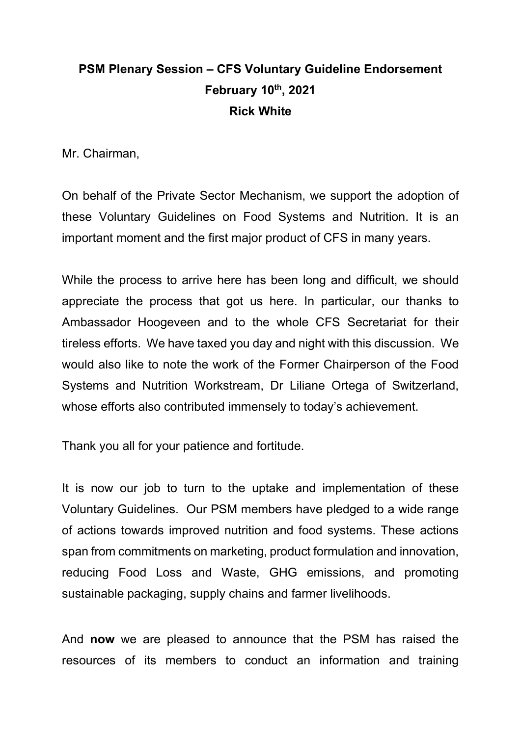## **PSM Plenary Session – CFS Voluntary Guideline Endorsement February 10th, 2021 Rick White**

Mr. Chairman,

On behalf of the Private Sector Mechanism, we support the adoption of these Voluntary Guidelines on Food Systems and Nutrition. It is an important moment and the first major product of CFS in many years.

While the process to arrive here has been long and difficult, we should appreciate the process that got us here. In particular, our thanks to Ambassador Hoogeveen and to the whole CFS Secretariat for their tireless efforts. We have taxed you day and night with this discussion. We would also like to note the work of the Former Chairperson of the Food Systems and Nutrition Workstream, Dr Liliane Ortega of Switzerland, whose efforts also contributed immensely to today's achievement.

Thank you all for your patience and fortitude.

It is now our job to turn to the uptake and implementation of these Voluntary Guidelines. Our PSM members have pledged to a wide range of actions towards improved nutrition and food systems. These actions span from commitments on marketing, product formulation and innovation, reducing Food Loss and Waste, GHG emissions, and promoting sustainable packaging, supply chains and farmer livelihoods.

And **now** we are pleased to announce that the PSM has raised the resources of its members to conduct an information and training